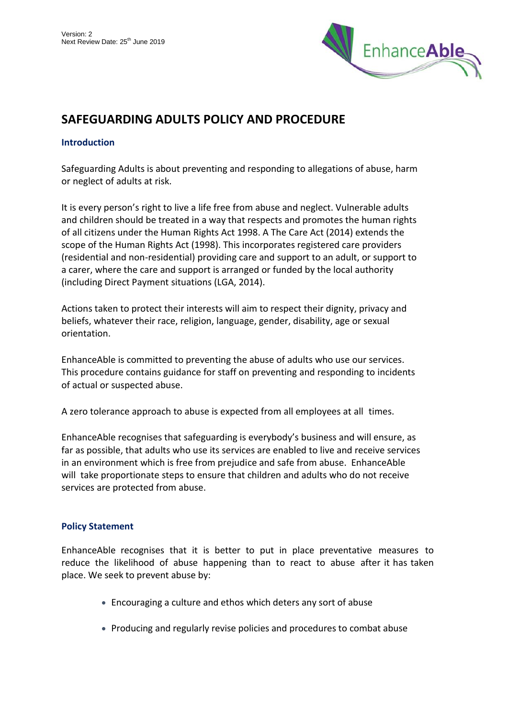

# **SAFEGUARDING ADULTS POLICY AND PROCEDURE**

# **Introduction**

Safeguarding Adults is about preventing and responding to allegations of abuse, harm or neglect of adults at risk.

It is every person's right to live a life free from abuse and neglect. Vulnerable adults and children should be treated in a way that respects and promotes the human rights of all citizens under the Human Rights Act 1998. A The Care Act (2014) extends the scope of the Human Rights Act (1998). This incorporates registered care providers (residential and non-residential) providing care and support to an adult, or support to a carer, where the care and support is arranged or funded by the local authority (including Direct Payment situations (LGA, 2014).

Actions taken to protect their interests will aim to respect their dignity, privacy and beliefs, whatever their race, religion, language, gender, disability, age or sexual orientation.

EnhanceAble is committed to preventing the abuse of adults who use our services. This procedure contains guidance for staff on preventing and responding to incidents of actual or suspected abuse.

A zero tolerance approach to abuse is expected from all employees at all times.

EnhanceAble recognises that safeguarding is everybody's business and will ensure, as far as possible, that adults who use its services are enabled to live and receive services in an environment which is free from prejudice and safe from abuse. EnhanceAble will take proportionate steps to ensure that children and adults who do not receive services are protected from abuse.

# **Policy Statement**

EnhanceAble recognises that it is better to put in place preventative measures to reduce the likelihood of abuse happening than to react to abuse after it has taken place. We seek to prevent abuse by:

- Encouraging a culture and ethos which deters any sort of abuse
- Producing and regularly revise policies and procedures to combat abuse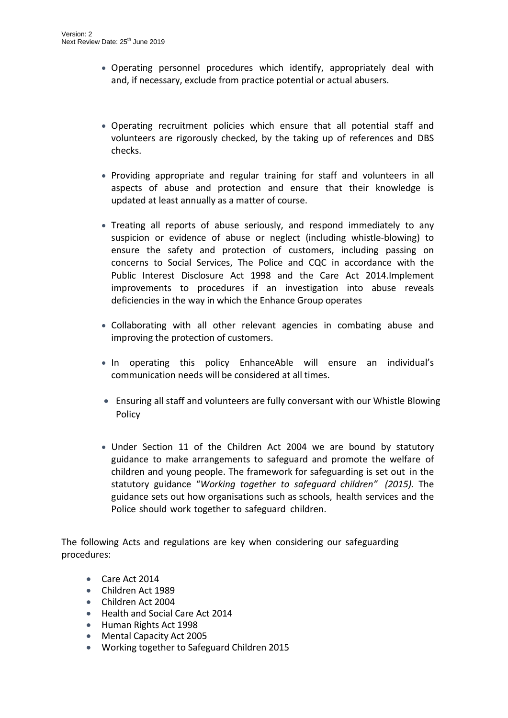- Operating personnel procedures which identify, appropriately deal with and, if necessary, exclude from practice potential or actual abusers.
- Operating recruitment policies which ensure that all potential staff and volunteers are rigorously checked, by the taking up of references and DBS checks.
- Providing appropriate and regular training for staff and volunteers in all aspects of abuse and protection and ensure that their knowledge is updated at least annually as a matter of course.
- Treating all reports of abuse seriously, and respond immediately to any suspicion or evidence of abuse or neglect (including whistle-blowing) to ensure the safety and protection of customers, including passing on concerns to Social Services, The Police and CQC in accordance with the Public Interest Disclosure Act 1998 and the Care Act 2014.Implement improvements to procedures if an investigation into abuse reveals deficiencies in the way in which the Enhance Group operates
- Collaborating with all other relevant agencies in combating abuse and improving the protection of customers.
- In operating this policy EnhanceAble will ensure an individual's communication needs will be considered at all times.
- Ensuring all staff and volunteers are fully conversant with our Whistle Blowing Policy
- Under Section 11 of the Children Act 2004 we are bound by statutory guidance to make arrangements to safeguard and promote the welfare of children and young people. The framework for safeguarding is set out in the statutory guidance "*Working together to safeguard children" (2015).* The guidance sets out how organisations such as schools, health services and the Police should work together to safeguard children.

The following Acts and regulations are key when considering our safeguarding procedures:

- Care Act 2014
- Children Act 1989
- Children Act 2004
- Health and Social Care Act 2014
- Human Rights Act 1998
- Mental Capacity Act 2005
- Working together to Safeguard Children 2015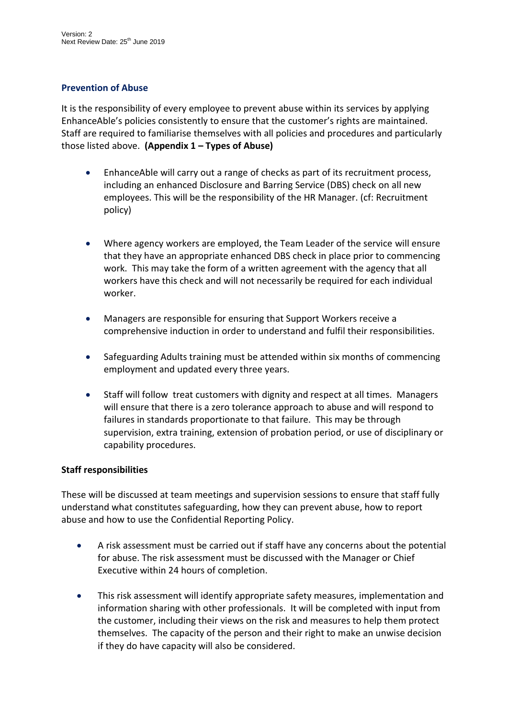# **Prevention of Abuse**

It is the responsibility of every employee to prevent abuse within its services by applying EnhanceAble's policies consistently to ensure that the customer's rights are maintained. Staff are required to familiarise themselves with all policies and procedures and particularly those listed above. **(Appendix 1 – Types of Abuse)**

- EnhanceAble will carry out a range of checks as part of its recruitment process, including an enhanced Disclosure and Barring Service (DBS) check on all new employees. This will be the responsibility of the HR Manager. (cf: Recruitment policy)
- Where agency workers are employed, the Team Leader of the service will ensure that they have an appropriate enhanced DBS check in place prior to commencing work. This may take the form of a written agreement with the agency that all workers have this check and will not necessarily be required for each individual worker.
- Managers are responsible for ensuring that Support Workers receive a comprehensive induction in order to understand and fulfil their responsibilities.
- Safeguarding Adults training must be attended within six months of commencing employment and updated every three years.
- Staff will follow treat customers with dignity and respect at all times. Managers will ensure that there is a zero tolerance approach to abuse and will respond to failures in standards proportionate to that failure. This may be through supervision, extra training, extension of probation period, or use of disciplinary or capability procedures.

# **Staff responsibilities**

These will be discussed at team meetings and supervision sessions to ensure that staff fully understand what constitutes safeguarding, how they can prevent abuse, how to report abuse and how to use the Confidential Reporting Policy.

- A risk assessment must be carried out if staff have any concerns about the potential for abuse. The risk assessment must be discussed with the Manager or Chief Executive within 24 hours of completion.
- This risk assessment will identify appropriate safety measures, implementation and information sharing with other professionals. It will be completed with input from the customer, including their views on the risk and measures to help them protect themselves. The capacity of the person and their right to make an unwise decision if they do have capacity will also be considered.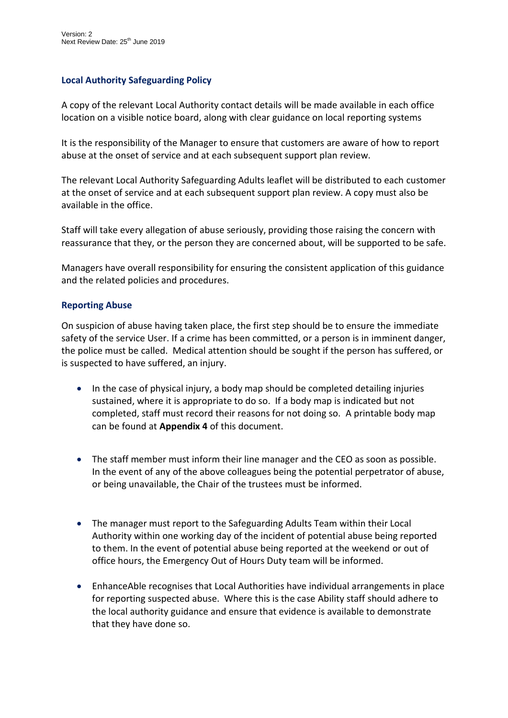# **Local Authority Safeguarding Policy**

A copy of the relevant Local Authority contact details will be made available in each office location on a visible notice board, along with clear guidance on local reporting systems

It is the responsibility of the Manager to ensure that customers are aware of how to report abuse at the onset of service and at each subsequent support plan review.

The relevant Local Authority Safeguarding Adults leaflet will be distributed to each customer at the onset of service and at each subsequent support plan review. A copy must also be available in the office.

Staff will take every allegation of abuse seriously, providing those raising the concern with reassurance that they, or the person they are concerned about, will be supported to be safe.

Managers have overall responsibility for ensuring the consistent application of this guidance and the related policies and procedures.

#### **Reporting Abuse**

On suspicion of abuse having taken place, the first step should be to ensure the immediate safety of the service User. If a crime has been committed, or a person is in imminent danger, the police must be called. Medical attention should be sought if the person has suffered, or is suspected to have suffered, an injury.

- In the case of physical injury, a body map should be completed detailing injuries sustained, where it is appropriate to do so. If a body map is indicated but not completed, staff must record their reasons for not doing so. A printable body map can be found at **Appendix 4** of this document.
- The staff member must inform their line manager and the CEO as soon as possible. In the event of any of the above colleagues being the potential perpetrator of abuse, or being unavailable, the Chair of the trustees must be informed.
- The manager must report to the Safeguarding Adults Team within their Local Authority within one working day of the incident of potential abuse being reported to them. In the event of potential abuse being reported at the weekend or out of office hours, the Emergency Out of Hours Duty team will be informed.
- EnhanceAble recognises that Local Authorities have individual arrangements in place for reporting suspected abuse. Where this is the case Ability staff should adhere to the local authority guidance and ensure that evidence is available to demonstrate that they have done so.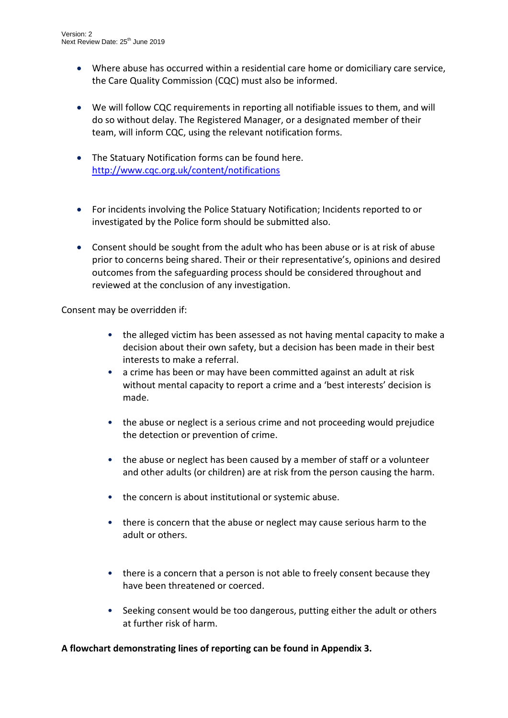- Where abuse has occurred within a residential care home or domiciliary care service, the Care Quality Commission (CQC) must also be informed.
- We will follow CQC requirements in reporting all notifiable issues to them, and will do so without delay. The Registered Manager, or a designated member of their team, will inform CQC, using the relevant notification forms.
- The Statuary Notification forms can be found here. <http://www.cqc.org.uk/content/notifications>
- For incidents involving the Police Statuary Notification; Incidents reported to or investigated by the Police form should be submitted also.
- Consent should be sought from the adult who has been abuse or is at risk of abuse prior to concerns being shared. Their or their representative's, opinions and desired outcomes from the safeguarding process should be considered throughout and reviewed at the conclusion of any investigation.

Consent may be overridden if:

- the alleged victim has been assessed as not having mental capacity to make a decision about their own safety, but a decision has been made in their best interests to make a referral.
- a crime has been or may have been committed against an adult at risk without mental capacity to report a crime and a 'best interests' decision is made.
- the abuse or neglect is a serious crime and not proceeding would prejudice the detection or prevention of crime.
- the abuse or neglect has been caused by a member of staff or a volunteer and other adults (or children) are at risk from the person causing the harm.
- the concern is about institutional or systemic abuse.
- there is concern that the abuse or neglect may cause serious harm to the adult or others.
- there is a concern that a person is not able to freely consent because they have been threatened or coerced.
- Seeking consent would be too dangerous, putting either the adult or others at further risk of harm.

#### **A flowchart demonstrating lines of reporting can be found in Appendix 3.**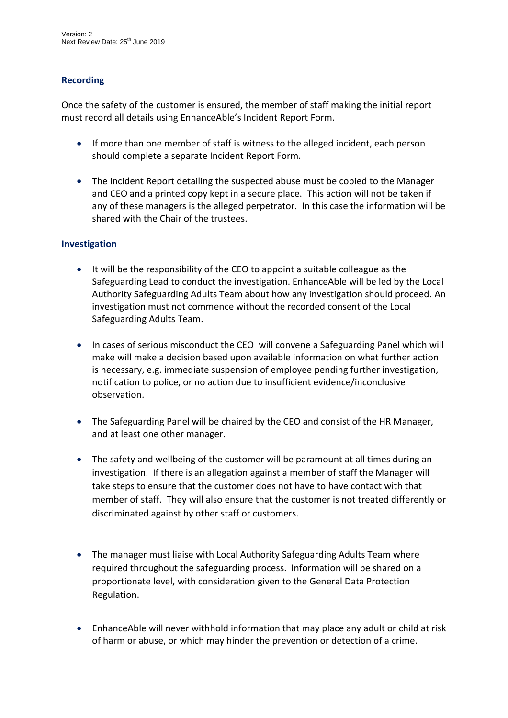# **Recording**

Once the safety of the customer is ensured, the member of staff making the initial report must record all details using EnhanceAble's Incident Report Form.

- If more than one member of staff is witness to the alleged incident, each person should complete a separate Incident Report Form.
- The Incident Report detailing the suspected abuse must be copied to the Manager and CEO and a printed copy kept in a secure place. This action will not be taken if any of these managers is the alleged perpetrator. In this case the information will be shared with the Chair of the trustees.

#### **Investigation**

- It will be the responsibility of the CEO to appoint a suitable colleague as the Safeguarding Lead to conduct the investigation. EnhanceAble will be led by the Local Authority Safeguarding Adults Team about how any investigation should proceed. An investigation must not commence without the recorded consent of the Local Safeguarding Adults Team.
- In cases of serious misconduct the CEO will convene a Safeguarding Panel which will make will make a decision based upon available information on what further action is necessary, e.g. immediate suspension of employee pending further investigation, notification to police, or no action due to insufficient evidence/inconclusive observation.
- The Safeguarding Panel will be chaired by the CEO and consist of the HR Manager, and at least one other manager.
- The safety and wellbeing of the customer will be paramount at all times during an investigation. If there is an allegation against a member of staff the Manager will take steps to ensure that the customer does not have to have contact with that member of staff. They will also ensure that the customer is not treated differently or discriminated against by other staff or customers.
- The manager must liaise with Local Authority Safeguarding Adults Team where required throughout the safeguarding process. Information will be shared on a proportionate level, with consideration given to the General Data Protection Regulation.
- EnhanceAble will never withhold information that may place any adult or child at risk of harm or abuse, or which may hinder the prevention or detection of a crime.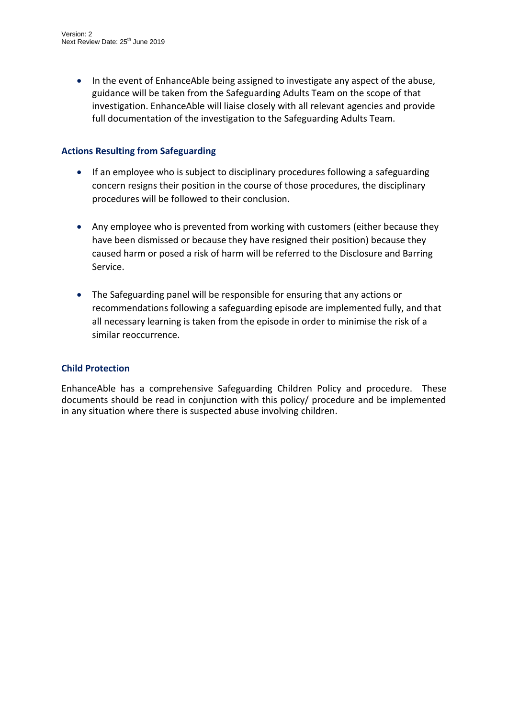• In the event of EnhanceAble being assigned to investigate any aspect of the abuse, guidance will be taken from the Safeguarding Adults Team on the scope of that investigation. EnhanceAble will liaise closely with all relevant agencies and provide full documentation of the investigation to the Safeguarding Adults Team.

# **Actions Resulting from Safeguarding**

- If an employee who is subject to disciplinary procedures following a safeguarding concern resigns their position in the course of those procedures, the disciplinary procedures will be followed to their conclusion.
- Any employee who is prevented from working with customers (either because they have been dismissed or because they have resigned their position) because they caused harm or posed a risk of harm will be referred to the Disclosure and Barring Service.
- The Safeguarding panel will be responsible for ensuring that any actions or recommendations following a safeguarding episode are implemented fully, and that all necessary learning is taken from the episode in order to minimise the risk of a similar reoccurrence.

# **Child Protection**

EnhanceAble has a comprehensive Safeguarding Children Policy and procedure. These documents should be read in conjunction with this policy/ procedure and be implemented in any situation where there is suspected abuse involving children.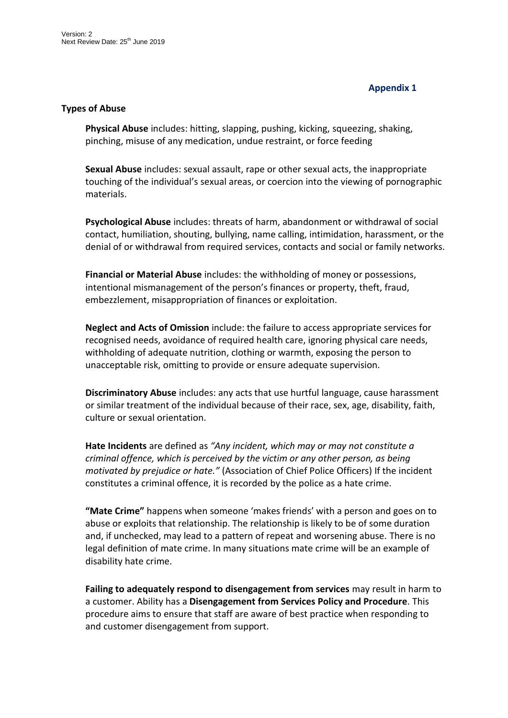# **Appendix 1**

#### **Types of Abuse**

**Physical Abuse** includes: hitting, slapping, pushing, kicking, squeezing, shaking, pinching, misuse of any medication, undue restraint, or force feeding

**Sexual Abuse** includes: sexual assault, rape or other sexual acts, the inappropriate touching of the individual's sexual areas, or coercion into the viewing of pornographic materials.

**Psychological Abuse** includes: threats of harm, abandonment or withdrawal of social contact, humiliation, shouting, bullying, name calling, intimidation, harassment, or the denial of or withdrawal from required services, contacts and social or family networks.

**Financial or Material Abuse** includes: the withholding of money or possessions, intentional mismanagement of the person's finances or property, theft, fraud, embezzlement, misappropriation of finances or exploitation.

**Neglect and Acts of Omission** include: the failure to access appropriate services for recognised needs, avoidance of required health care, ignoring physical care needs, withholding of adequate nutrition, clothing or warmth, exposing the person to unacceptable risk, omitting to provide or ensure adequate supervision.

**Discriminatory Abuse** includes: any acts that use hurtful language, cause harassment or similar treatment of the individual because of their race, sex, age, disability, faith, culture or sexual orientation.

**Hate Incidents** are defined as *"Any incident, which may or may not constitute a criminal offence, which is perceived by the victim or any other person, as being motivated by prejudice or hate."* (Association of Chief Police Officers) If the incident constitutes a criminal offence, it is recorded by the police as a hate crime.

**"Mate Crime"** happens when someone 'makes friends' with a person and goes on to abuse or exploits that relationship. The relationship is likely to be of some duration and, if unchecked, may lead to a pattern of repeat and worsening abuse. There is no legal definition of mate crime. In many situations mate crime will be an example of disability hate crime.

**Failing to adequately respond to disengagement from services** may result in harm to a customer. Ability has a **Disengagement from Services Policy and Procedure**. This procedure aims to ensure that staff are aware of best practice when responding to and customer disengagement from support.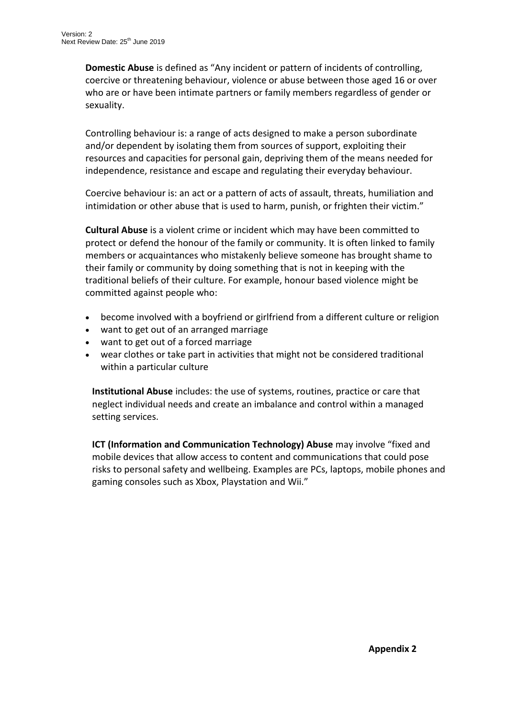**Domestic Abuse** is defined as "Any incident or pattern of incidents of controlling, coercive or threatening behaviour, violence or abuse between those aged 16 or over who are or have been intimate partners or family members regardless of gender or sexuality.

Controlling behaviour is: a range of acts designed to make a person subordinate and/or dependent by isolating them from sources of support, exploiting their resources and capacities for personal gain, depriving them of the means needed for independence, resistance and escape and regulating their everyday behaviour.

Coercive behaviour is: an act or a pattern of acts of assault, threats, humiliation and intimidation or other abuse that is used to harm, punish, or frighten their victim."

**Cultural Abuse** is a violent crime or incident which may have been committed to protect or defend the honour of the family or community. It is often linked to family members or acquaintances who mistakenly believe someone has brought shame to their family or community by doing something that is not in keeping with the traditional beliefs of their culture. For example, honour based violence might be committed against people who:

- become involved with a boyfriend or girlfriend from a different culture or religion
- want to get out of an arranged marriage
- want to get out of a forced marriage
- wear clothes or take part in activities that might not be considered traditional within a particular culture

**Institutional Abuse** includes: the use of systems, routines, practice or care that neglect individual needs and create an imbalance and control within a managed setting services.

**ICT (Information and Communication Technology) Abuse** may involve "fixed and mobile devices that allow access to content and communications that could pose risks to personal safety and wellbeing. Examples are PCs, laptops, mobile phones and gaming consoles such as Xbox, Playstation and Wii."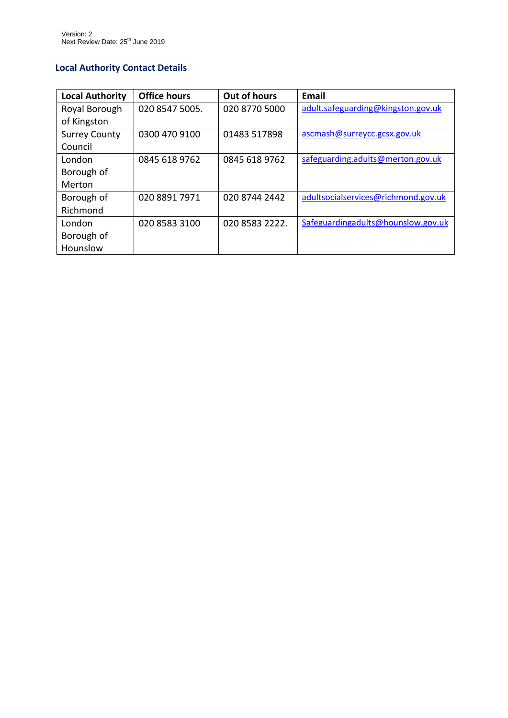# **Local Authority Contact Details**

| <b>Local Authority</b> | <b>Office hours</b> | Out of hours   | Email                               |
|------------------------|---------------------|----------------|-------------------------------------|
| Royal Borough          | 020 8547 5005.      | 020 8770 5000  | adult.safeguarding@kingston.gov.uk  |
| of Kingston            |                     |                |                                     |
| <b>Surrey County</b>   | 0300 470 9100       | 01483 517898   | ascmash@surreycc.gcsx.gov.uk        |
| Council                |                     |                |                                     |
| London                 | 0845 618 9762       | 0845 618 9762  | safeguarding.adults@merton.gov.uk   |
| Borough of             |                     |                |                                     |
| Merton                 |                     |                |                                     |
| Borough of             | 020 8891 7971       | 020 8744 2442  | adultsocialservices@richmond.gov.uk |
| Richmond               |                     |                |                                     |
| London                 | 020 8583 3100       | 020 8583 2222. | Safeguardingadults@hounslow.gov.uk  |
| Borough of             |                     |                |                                     |
| Hounslow               |                     |                |                                     |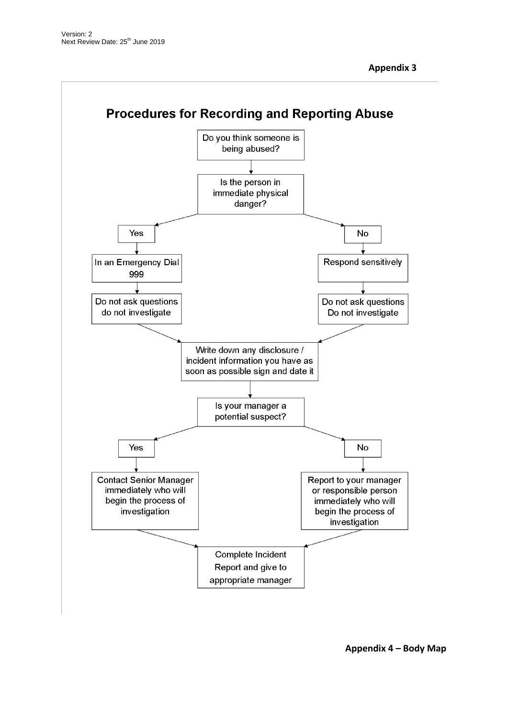

**Appendix 4 – Body Map**